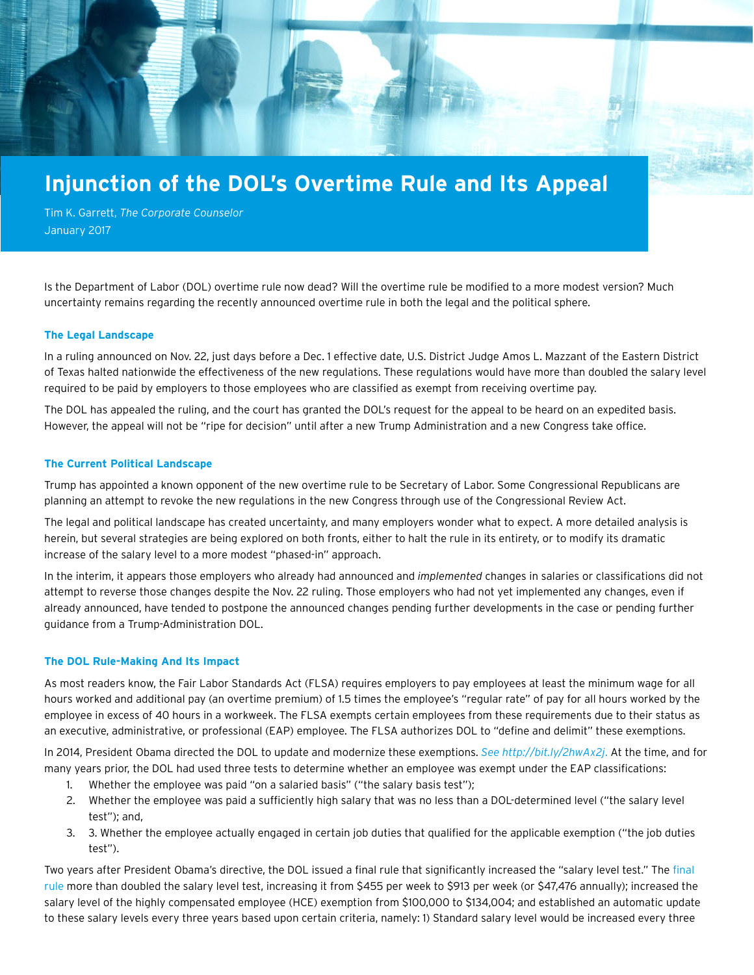

# **Injunction of the DOL's Overtime Rule and Its Appeal**

Tim K. Garrett, *The Corporate Counselor*  January 2017

Is the Department of Labor (DOL) overtime rule now dead? Will the overtime rule be modified to a more modest version? Much uncertainty remains regarding the recently announced overtime rule in both the legal and the political sphere.

### **The Legal Landscape**

In a ruling announced on Nov. 22, just days before a Dec. 1 effective date, U.S. District Judge Amos L. Mazzant of the Eastern District of Texas halted nationwide the effectiveness of the new regulations. These regulations would have more than doubled the salary level required to be paid by employers to those employees who are classified as exempt from receiving overtime pay.

The DOL has appealed the ruling, and the court has granted the DOL's request for the appeal to be heard on an expedited basis. However, the appeal will not be "ripe for decision" until after a new Trump Administration and a new Congress take office.

#### **The Current Political Landscape**

Trump has appointed a known opponent of the new overtime rule to be Secretary of Labor. Some Congressional Republicans are planning an attempt to revoke the new regulations in the new Congress through use of the Congressional Review Act.

The legal and political landscape has created uncertainty, and many employers wonder what to expect. A more detailed analysis is herein, but several strategies are being explored on both fronts, either to halt the rule in its entirety, or to modify its dramatic increase of the salary level to a more modest "phased-in" approach.

In the interim, it appears those employers who already had announced and *implemented* changes in salaries or classifications did not attempt to reverse those changes despite the Nov. 22 ruling. Those employers who had not yet implemented any changes, even if already announced, have tended to postpone the announced changes pending further developments in the case or pending further guidance from a Trump-Administration DOL.

#### **The DOL Rule-Making And Its Impact**

As most readers know, the Fair Labor Standards Act (FLSA) requires employers to pay employees at least the minimum wage for all hours worked and additional pay (an overtime premium) of 1.5 times the employee's "regular rate" of pay for all hours worked by the employee in excess of 40 hours in a workweek. The FLSA exempts certain employees from these requirements due to their status as an executive, administrative, or professional (EAP) employee. The FLSA authorizes DOL to "define and delimit" these exemptions.

In 2014, President Obama directed the DOL to update and modernize these exemptions. *[See http://bit.ly/2hwAx2j](http://bit.ly/2hwAx2j)*. At the time, and for many years prior, the DOL had used three tests to determine whether an employee was exempt under the EAP classifications:

- 1. Whether the employee was paid "on a salaried basis" ("the salary basis test");
- 2. Whether the employee was paid a sufficiently high salary that was no less than a DOL-determined level ("the salary level test"); and,
- 3. 3. Whether the employee actually engaged in certain job duties that qualified for the applicable exemption ("the job duties test").

Two years after President Obama's directive, the DOL issued a final rule that significantly increased the "salary level test." The [final](https://www.gpo.gov/fdsys/pkg/FR-2016-05-23/pdf/2016-11754.pdf)  [rule](https://www.gpo.gov/fdsys/pkg/FR-2016-05-23/pdf/2016-11754.pdf) more than doubled the salary level test, increasing it from \$455 per week to \$913 per week (or \$47,476 annually); increased the salary level of the highly compensated employee (HCE) exemption from \$100,000 to \$134,004; and established an automatic update to these salary levels every three years based upon certain criteria, namely: 1) Standard salary level would be increased every three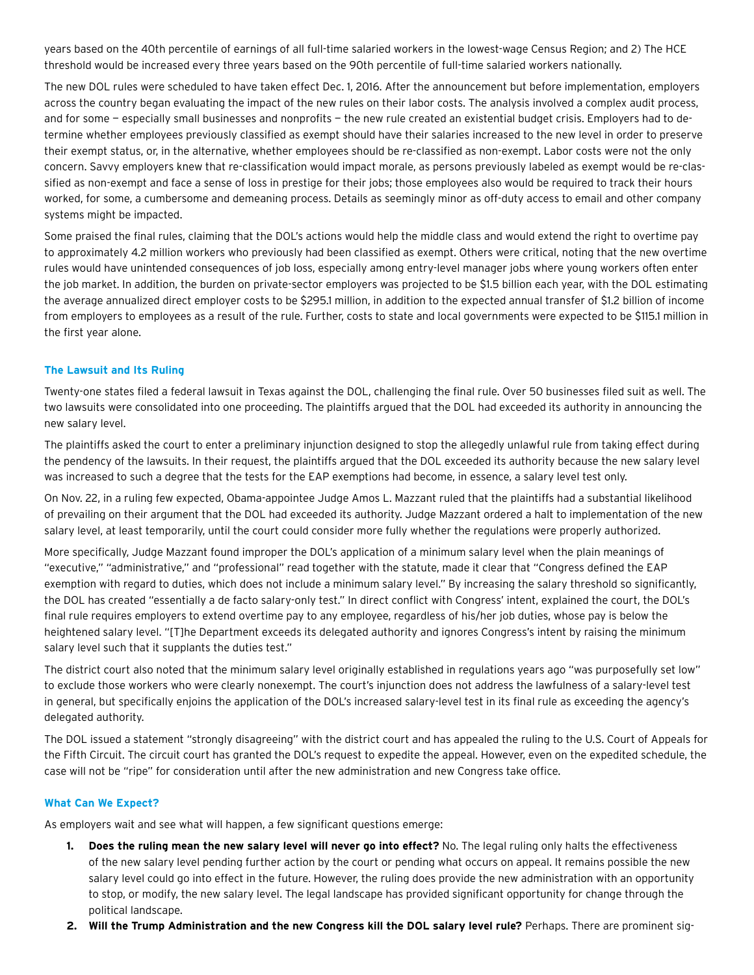years based on the 40th percentile of earnings of all full-time salaried workers in the lowest-wage Census Region; and 2) The HCE threshold would be increased every three years based on the 90th percentile of full-time salaried workers nationally.

The new DOL rules were scheduled to have taken effect Dec. 1, 2016. After the announcement but before implementation, employers across the country began evaluating the impact of the new rules on their labor costs. The analysis involved a complex audit process, and for some – especially small businesses and nonprofits – the new rule created an existential budget crisis. Employers had to determine whether employees previously classified as exempt should have their salaries increased to the new level in order to preserve their exempt status, or, in the alternative, whether employees should be re-classified as non-exempt. Labor costs were not the only concern. Savvy employers knew that re-classification would impact morale, as persons previously labeled as exempt would be re-classified as non-exempt and face a sense of loss in prestige for their jobs; those employees also would be required to track their hours worked, for some, a cumbersome and demeaning process. Details as seemingly minor as off-duty access to email and other company systems might be impacted.

Some praised the final rules, claiming that the DOL's actions would help the middle class and would extend the right to overtime pay to approximately 4.2 million workers who previously had been classified as exempt. Others were critical, noting that the new overtime rules would have unintended consequences of job loss, especially among entry-level manager jobs where young workers often enter the job market. In addition, the burden on private-sector employers was projected to be \$1.5 billion each year, with the DOL estimating the average annualized direct employer costs to be \$295.1 million, in addition to the expected annual transfer of \$1.2 billion of income from employers to employees as a result of the rule. Further, costs to state and local governments were expected to be \$115.1 million in the first year alone.

# **The Lawsuit and Its Ruling**

Twenty-one states filed a federal lawsuit in Texas against the DOL, challenging the final rule. Over 50 businesses filed suit as well. The two lawsuits were consolidated into one proceeding. The plaintiffs argued that the DOL had exceeded its authority in announcing the new salary level.

The plaintiffs asked the court to enter a preliminary injunction designed to stop the allegedly unlawful rule from taking effect during the pendency of the lawsuits. In their request, the plaintiffs argued that the DOL exceeded its authority because the new salary level was increased to such a degree that the tests for the EAP exemptions had become, in essence, a salary level test only.

On Nov. 22, in a ruling few expected, Obama-appointee Judge Amos L. Mazzant ruled that the plaintiffs had a substantial likelihood of prevailing on their argument that the DOL had exceeded its authority. Judge Mazzant ordered a halt to implementation of the new salary level, at least temporarily, until the court could consider more fully whether the regulations were properly authorized.

More specifically, Judge Mazzant found improper the DOL's application of a minimum salary level when the plain meanings of "executive," "administrative," and "professional" read together with the statute, made it clear that "Congress defined the EAP exemption with regard to duties, which does not include a minimum salary level." By increasing the salary threshold so significantly, the DOL has created "essentially a de facto salary-only test." In direct conflict with Congress' intent, explained the court, the DOL's final rule requires employers to extend overtime pay to any employee, regardless of his/her job duties, whose pay is below the heightened salary level. "[T]he Department exceeds its delegated authority and ignores Congress's intent by raising the minimum salary level such that it supplants the duties test."

The district court also noted that the minimum salary level originally established in regulations years ago "was purposefully set low" to exclude those workers who were clearly nonexempt. The court's injunction does not address the lawfulness of a salary-level test in general, but specifically enjoins the application of the DOL's increased salary-level test in its final rule as exceeding the agency's delegated authority.

The DOL issued a statement "strongly disagreeing" with the district court and has appealed the ruling to the U.S. Court of Appeals for the Fifth Circuit. The circuit court has granted the DOL's request to expedite the appeal. However, even on the expedited schedule, the case will not be "ripe" for consideration until after the new administration and new Congress take office.

## **What Can We Expect?**

As employers wait and see what will happen, a few significant questions emerge:

- **1. Does the ruling mean the new salary level will never go into effect?** No. The legal ruling only halts the effectiveness of the new salary level pending further action by the court or pending what occurs on appeal. It remains possible the new salary level could go into effect in the future. However, the ruling does provide the new administration with an opportunity to stop, or modify, the new salary level. The legal landscape has provided significant opportunity for change through the political landscape.
- **2. Will the Trump Administration and the new Congress kill the DOL salary level rule?** Perhaps. There are prominent sig-